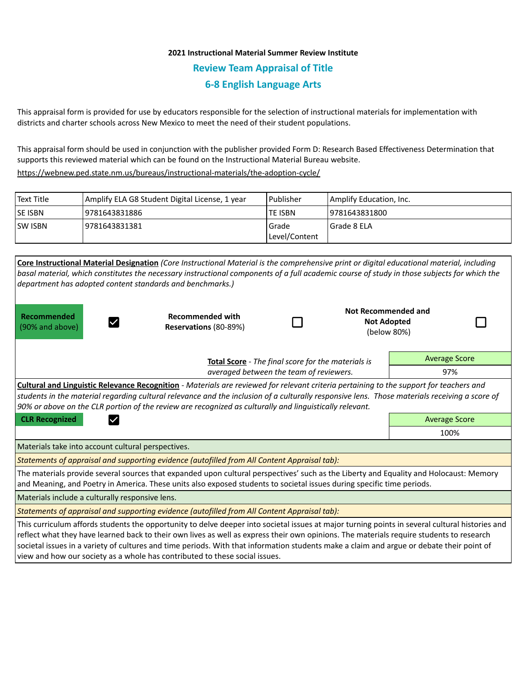## **2021 Instructional Material Summer Review Institute Review Team Appraisal of Title 6-8 English Language Arts**

This appraisal form is provided for use by educators responsible for the selection of instructional materials for implementation with districts and charter schools across New Mexico to meet the need of their student populations.

This appraisal form should be used in conjunction with the publisher provided Form D: Research Based Effectiveness Determination that supports this reviewed material which can be found on the Instructional Material Bureau website.

<https://webnew.ped.state.nm.us/bureaus/instructional-materials/the-adoption-cycle/>

| Text Title     | Amplify ELA G8 Student Digital License, 1 year | Publisher              | Amplify Education, Inc. |
|----------------|------------------------------------------------|------------------------|-------------------------|
| <b>SE ISBN</b> | 9781643831886                                  | <b>TE ISBN</b>         | 9781643831800           |
| <b>SW ISBN</b> | 19781643831381                                 | Grade<br>Level/Content | Grade 8 ELA             |

| Core Instructional Material Designation (Core Instructional Material is the comprehensive print or digital educational material, including<br>basal material, which constitutes the necessary instructional components of a full academic course of study in those subjects for which the<br>department has adopted content standards and benchmarks.)                                                                                                                                                                  |                                                  |  |  |                                                                 |  |  |  |  |  |
|-------------------------------------------------------------------------------------------------------------------------------------------------------------------------------------------------------------------------------------------------------------------------------------------------------------------------------------------------------------------------------------------------------------------------------------------------------------------------------------------------------------------------|--------------------------------------------------|--|--|-----------------------------------------------------------------|--|--|--|--|--|
| Recommended<br>(90% and above)                                                                                                                                                                                                                                                                                                                                                                                                                                                                                          | <b>Recommended with</b><br>Reservations (80-89%) |  |  | <b>Not Recommended and</b><br><b>Not Adopted</b><br>(below 80%) |  |  |  |  |  |
|                                                                                                                                                                                                                                                                                                                                                                                                                                                                                                                         | <b>Average Score</b>                             |  |  |                                                                 |  |  |  |  |  |
|                                                                                                                                                                                                                                                                                                                                                                                                                                                                                                                         | 97%                                              |  |  |                                                                 |  |  |  |  |  |
| Cultural and Linguistic Relevance Recognition - Materials are reviewed for relevant criteria pertaining to the support for teachers and<br>students in the material regarding cultural relevance and the inclusion of a culturally responsive lens. Those materials receiving a score of<br>90% or above on the CLR portion of the review are recognized as culturally and linguistically relevant.                                                                                                                     |                                                  |  |  |                                                                 |  |  |  |  |  |
| <b>CLR Recognized</b>                                                                                                                                                                                                                                                                                                                                                                                                                                                                                                   | <b>Average Score</b>                             |  |  |                                                                 |  |  |  |  |  |
|                                                                                                                                                                                                                                                                                                                                                                                                                                                                                                                         | 100%                                             |  |  |                                                                 |  |  |  |  |  |
| Materials take into account cultural perspectives.                                                                                                                                                                                                                                                                                                                                                                                                                                                                      |                                                  |  |  |                                                                 |  |  |  |  |  |
| Statements of appraisal and supporting evidence (autofilled from All Content Appraisal tab):                                                                                                                                                                                                                                                                                                                                                                                                                            |                                                  |  |  |                                                                 |  |  |  |  |  |
| The materials provide several sources that expanded upon cultural perspectives' such as the Liberty and Equality and Holocaust: Memory<br>and Meaning, and Poetry in America. These units also exposed students to societal issues during specific time periods.                                                                                                                                                                                                                                                        |                                                  |  |  |                                                                 |  |  |  |  |  |
| Materials include a culturally responsive lens.                                                                                                                                                                                                                                                                                                                                                                                                                                                                         |                                                  |  |  |                                                                 |  |  |  |  |  |
| Statements of appraisal and supporting evidence (autofilled from All Content Appraisal tab):                                                                                                                                                                                                                                                                                                                                                                                                                            |                                                  |  |  |                                                                 |  |  |  |  |  |
| This curriculum affords students the opportunity to delve deeper into societal issues at major turning points in several cultural histories and<br>reflect what they have learned back to their own lives as well as express their own opinions. The materials require students to research<br>societal issues in a variety of cultures and time periods. With that information students make a claim and argue or debate their point of<br>view and how our society as a whole has contributed to these social issues. |                                                  |  |  |                                                                 |  |  |  |  |  |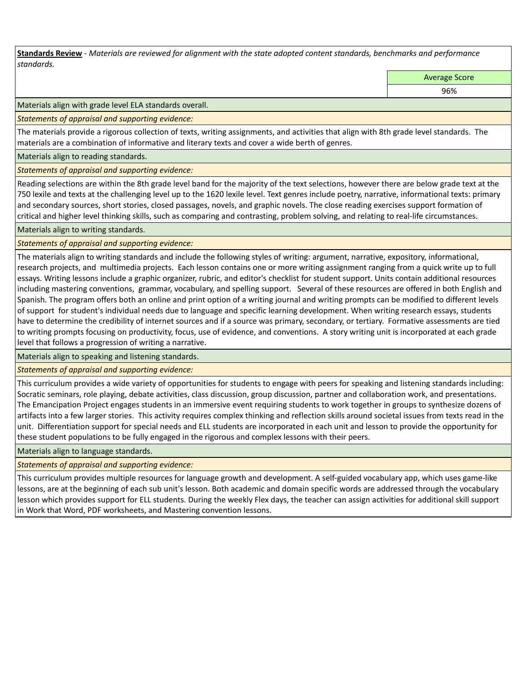**Standards Review** *- Materials are reviewed for alignment with the state adopted content standards, benchmarks and performance standards.*

Average Score

96%

Materials align with grade level ELA standards overall.

*Statements of appraisal and supporting evidence:* 

The materials provide a rigorous collection of texts, writing assignments, and activities that align with 8th grade level standards. The materials are a combination of informative and literary texts and cover a wide berth of genres.

Materials align to reading standards.

*Statements of appraisal and supporting evidence:* 

Reading selections are within the 8th grade level band for the majority of the text selections, however there are below grade text at the 750 lexile and texts at the challenging level up to the 1620 lexile level. Text genres include poetry, narrative, informational texts: primary and secondary sources, short stories, closed passages, novels, and graphic novels. The close reading exercises support formation of critical and higher level thinking skills, such as comparing and contrasting, problem solving, and relating to real-life circumstances.

Materials align to writing standards.

*Statements of appraisal and supporting evidence:* 

The materials align to writing standards and include the following styles of writing: argument, narrative, expository, informational, research projects, and multimedia projects. Each lesson contains one or more writing assignment ranging from a quick write up to full essays. Writing lessons include a graphic organizer, rubric, and editor's checklist for student support. Units contain additional resources including mastering conventions, grammar, vocabulary, and spelling support. Several of these resources are offered in both English and Spanish. The program offers both an online and print option of a writing journal and writing prompts can be modified to different levels of support for student's individual needs due to language and specific learning development. When writing research essays, students have to determine the credibility of internet sources and if a source was primary, secondary, or tertiary. Formative assessments are tied to writing prompts focusing on productivity, focus, use of evidence, and conventions. A story writing unit is incorporated at each grade level that follows a progression of writing a narrative.

Materials align to speaking and listening standards.

*Statements of appraisal and supporting evidence:* 

This curriculum provides a wide variety of opportunities for students to engage with peers for speaking and listening standards including: Socratic seminars, role playing, debate activities, class discussion, group discussion, partner and collaboration work, and presentations. The Emancipation Project engages students in an immersive event requiring students to work together in groups to synthesize dozens of artifacts into a few larger stories. This activity requires complex thinking and reflection skills around societal issues from texts read in the unit. Differentiation support for special needs and ELL students are incorporated in each unit and lesson to provide the opportunity for these student populations to be fully engaged in the rigorous and complex lessons with their peers.

Materials align to language standards.

*Statements of appraisal and supporting evidence:* 

This curriculum provides multiple resources for language growth and development. A self-guided vocabulary app, which uses game-like lessons, are at the beginning of each sub unit's lesson. Both academic and domain specific words are addressed through the vocabulary lesson which provides support for ELL students. During the weekly Flex days, the teacher can assign activities for additional skill support in Work that Word, PDF worksheets, and Mastering convention lessons.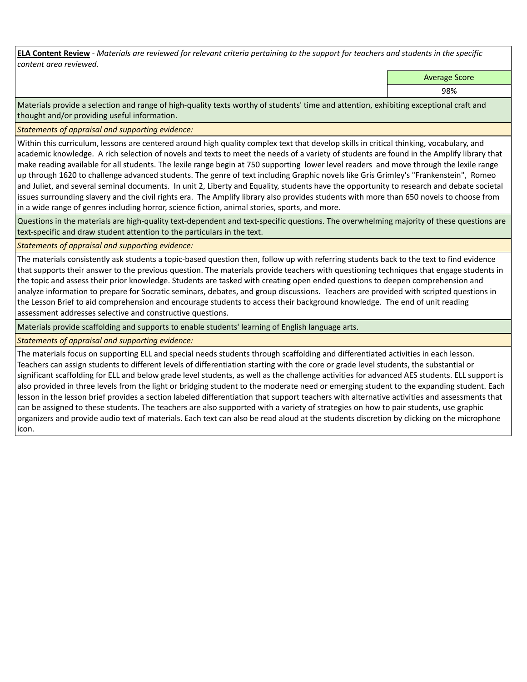**ELA Content Review** *- Materials are reviewed for relevant criteria pertaining to the support for teachers and students in the specific content area reviewed.*

Average Score

98%

Materials provide a selection and range of high-quality texts worthy of students' time and attention, exhibiting exceptional craft and thought and/or providing useful information.

*Statements of appraisal and supporting evidence:* 

Within this curriculum, lessons are centered around high quality complex text that develop skills in critical thinking, vocabulary, and academic knowledge. A rich selection of novels and texts to meet the needs of a variety of students are found in the Amplify library that make reading available for all students. The lexile range begin at 750 supporting lower level readers and move through the lexile range up through 1620 to challenge advanced students. The genre of text including Graphic novels like Gris Grimley's "Frankenstein", Romeo and Juliet, and several seminal documents. In unit 2, Liberty and Equality, students have the opportunity to research and debate societal issues surrounding slavery and the civil rights era. The Amplify library also provides students with more than 650 novels to choose from in a wide range of genres including horror, science fiction, animal stories, sports, and more.

Questions in the materials are high-quality text-dependent and text-specific questions. The overwhelming majority of these questions are text-specific and draw student attention to the particulars in the text.

*Statements of appraisal and supporting evidence:* 

The materials consistently ask students a topic-based question then, follow up with referring students back to the text to find evidence that supports their answer to the previous question. The materials provide teachers with questioning techniques that engage students in the topic and assess their prior knowledge. Students are tasked with creating open ended questions to deepen comprehension and analyze information to prepare for Socratic seminars, debates, and group discussions. Teachers are provided with scripted questions in the Lesson Brief to aid comprehension and encourage students to access their background knowledge. The end of unit reading assessment addresses selective and constructive questions.

Materials provide scaffolding and supports to enable students' learning of English language arts.

*Statements of appraisal and supporting evidence:* 

The materials focus on supporting ELL and special needs students through scaffolding and differentiated activities in each lesson. Teachers can assign students to different levels of differentiation starting with the core or grade level students, the substantial or significant scaffolding for ELL and below grade level students, as well as the challenge activities for advanced AES students. ELL support is also provided in three levels from the light or bridging student to the moderate need or emerging student to the expanding student. Each lesson in the lesson brief provides a section labeled differentiation that support teachers with alternative activities and assessments that can be assigned to these students. The teachers are also supported with a variety of strategies on how to pair students, use graphic organizers and provide audio text of materials. Each text can also be read aloud at the students discretion by clicking on the microphone icon.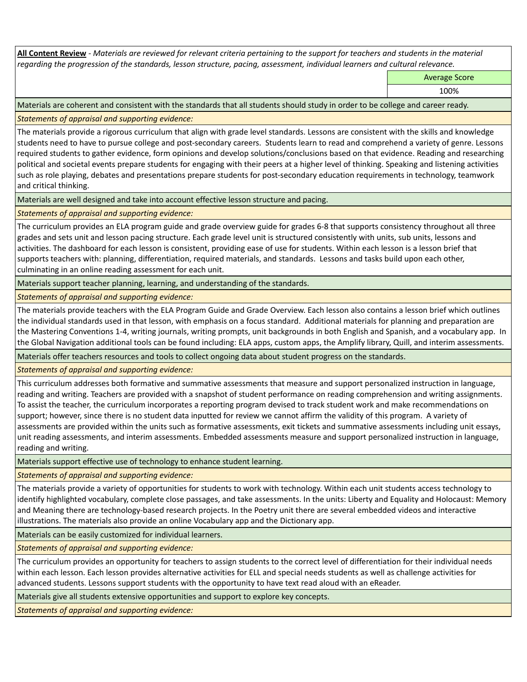**All Content Review** *- Materials are reviewed for relevant criteria pertaining to the support for teachers and students in the material regarding the progression of the standards, lesson structure, pacing, assessment, individual learners and cultural relevance.*

Average Score

100%

Materials are coherent and consistent with the standards that all students should study in order to be college and career ready.

*Statements of appraisal and supporting evidence:*

The materials provide a rigorous curriculum that align with grade level standards. Lessons are consistent with the skills and knowledge students need to have to pursue college and post-secondary careers. Students learn to read and comprehend a variety of genre. Lessons required students to gather evidence, form opinions and develop solutions/conclusions based on that evidence. Reading and researching political and societal events prepare students for engaging with their peers at a higher level of thinking. Speaking and listening activities such as role playing, debates and presentations prepare students for post-secondary education requirements in technology, teamwork and critical thinking.

Materials are well designed and take into account effective lesson structure and pacing.

*Statements of appraisal and supporting evidence:*

The curriculum provides an ELA program guide and grade overview guide for grades 6-8 that supports consistency throughout all three grades and sets unit and lesson pacing structure. Each grade level unit is structured consistently with units, sub units, lessons and activities. The dashboard for each lesson is consistent, providing ease of use for students. Within each lesson is a lesson brief that supports teachers with: planning, differentiation, required materials, and standards. Lessons and tasks build upon each other, culminating in an online reading assessment for each unit.

Materials support teacher planning, learning, and understanding of the standards.

*Statements of appraisal and supporting evidence:*

The materials provide teachers with the ELA Program Guide and Grade Overview. Each lesson also contains a lesson brief which outlines the individual standards used in that lesson, with emphasis on a focus standard. Additional materials for planning and preparation are the Mastering Conventions 1-4, writing journals, writing prompts, unit backgrounds in both English and Spanish, and a vocabulary app. In the Global Navigation additional tools can be found including: ELA apps, custom apps, the Amplify library, Quill, and interim assessments.

Materials offer teachers resources and tools to collect ongoing data about student progress on the standards.

*Statements of appraisal and supporting evidence:*

This curriculum addresses both formative and summative assessments that measure and support personalized instruction in language, reading and writing. Teachers are provided with a snapshot of student performance on reading comprehension and writing assignments. To assist the teacher, the curriculum incorporates a reporting program devised to track student work and make recommendations on support; however, since there is no student data inputted for review we cannot affirm the validity of this program. A variety of assessments are provided within the units such as formative assessments, exit tickets and summative assessments including unit essays, unit reading assessments, and interim assessments. Embedded assessments measure and support personalized instruction in language, reading and writing.

Materials support effective use of technology to enhance student learning.

*Statements of appraisal and supporting evidence:*

The materials provide a variety of opportunities for students to work with technology. Within each unit students access technology to identify highlighted vocabulary, complete close passages, and take assessments. In the units: Liberty and Equality and Holocaust: Memory and Meaning there are technology-based research projects. In the Poetry unit there are several embedded videos and interactive illustrations. The materials also provide an online Vocabulary app and the Dictionary app.

Materials can be easily customized for individual learners.

*Statements of appraisal and supporting evidence:* 

The curriculum provides an opportunity for teachers to assign students to the correct level of differentiation for their individual needs within each lesson. Each lesson provides alternative activities for ELL and special needs students as well as challenge activities for advanced students. Lessons support students with the opportunity to have text read aloud with an eReader.

Materials give all students extensive opportunities and support to explore key concepts.

*Statements of appraisal and supporting evidence:*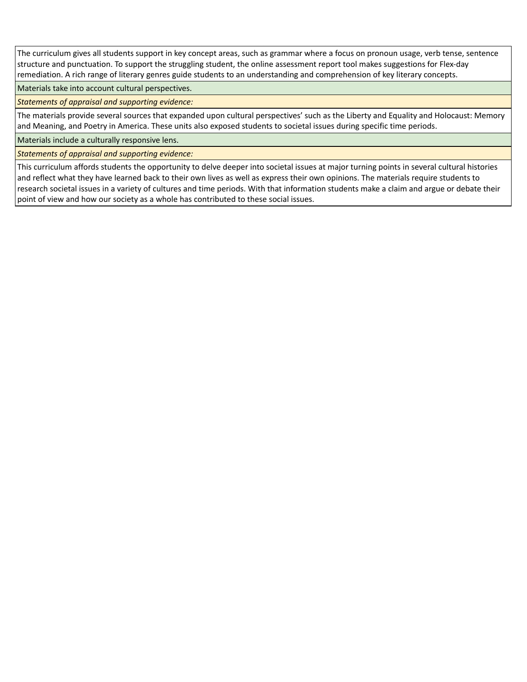The curriculum gives all students support in key concept areas, such as grammar where a focus on pronoun usage, verb tense, sentence structure and punctuation. To support the struggling student, the online assessment report tool makes suggestions for Flex-day remediation. A rich range of literary genres guide students to an understanding and comprehension of key literary concepts.

Materials take into account cultural perspectives.

*Statements of appraisal and supporting evidence:*

The materials provide several sources that expanded upon cultural perspectives' such as the Liberty and Equality and Holocaust: Memory and Meaning, and Poetry in America. These units also exposed students to societal issues during specific time periods.

Materials include a culturally responsive lens.

*Statements of appraisal and supporting evidence:*

This curriculum affords students the opportunity to delve deeper into societal issues at major turning points in several cultural histories and reflect what they have learned back to their own lives as well as express their own opinions. The materials require students to research societal issues in a variety of cultures and time periods. With that information students make a claim and argue or debate their point of view and how our society as a whole has contributed to these social issues.